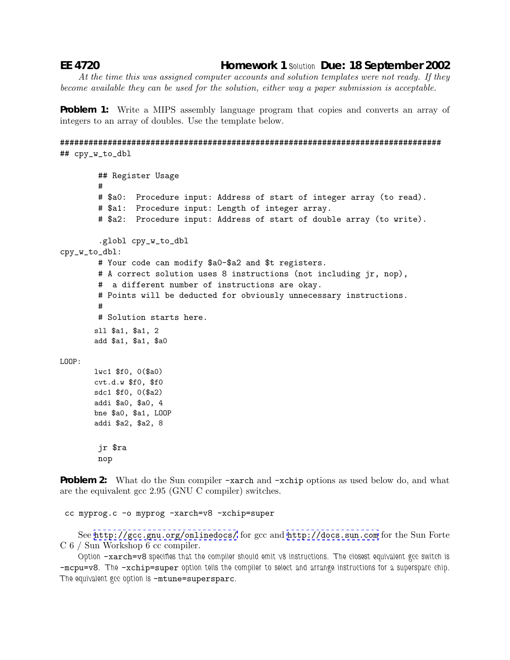## EE 4720

**Homework 1 Solution Due: 18 September 2002** 

At the time this was assigned computer accounts and solution templates were not ready. If they become available they can be used for the solution, either way a paper submission is acceptable.

**Problem 1:** Write a MIPS assembly language program that copies and converts an array of integers to an array of doubles. Use the template below.

```
## cpy_w_to_dbl
```

```
## Register Usage
        # $a0: Procedure input: Address of start of integer array (to read).
        # $a1: Procedure input: Length of integer array.
        # $a2: Procedure input: Address of start of double array (to write).
        .globl cpy_w_to_dbl
cpy_w_to_dbl:
        # Your code can modify $a0-$a2 and $t registers.
        # A correct solution uses 8 instructions (not including jr, nop),
        # a different number of instructions are okay.
        # Points will be deducted for obviously unnecessary instructions.
        # Solution starts here.
       sll $a1, $a1, 2
       add $a1, $a1, $a0
LOOP:lwc1 $f0, 0($a0)
       cvt.d.w $f0, $f0
       sdc1 $f0, 0($a2)
       addi $a0, $a0, 4
       bne $a0, $a1, LOOP
       addi $a2, $a2, 8
        jr $ra
        nop
```
**Problem 2:** What do the Sun compiler -xarch and -xchip options as used below do, and what are the equivalent gcc 2.95 (GNU C compiler) switches.

```
cc myprog.c -o myprog -xarch=v8 -xchip=super
```
See http://gcc.gnu.org/onlinedocs/ for gcc and http://docs.sun.com for the Sun Forte  $C_6$  / Sun Workshop 6 cc compiler.

Option -xarch=v8 specifies that the compiler should emit v8 instructions. The closest equivalent gcc switch is -mcpu=v8. The -xchip=super option tells the compiler to select and arrange instructions for a superspare chip. The equivalent gee option is -mtune=supersparc.